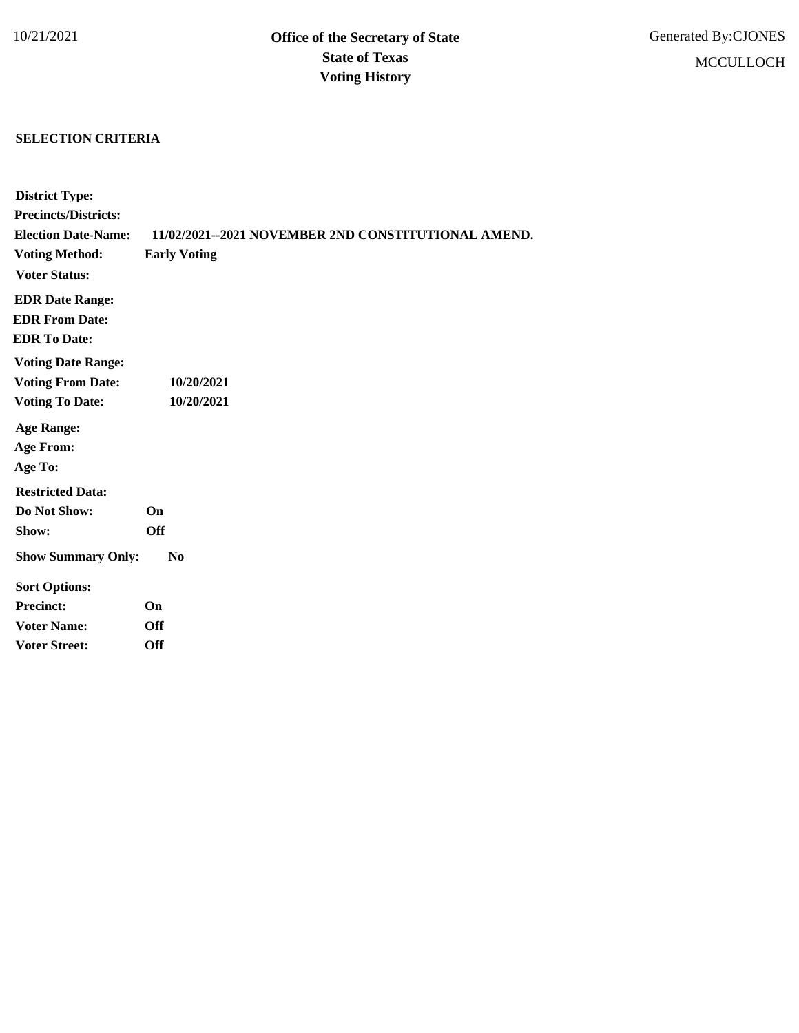## **SELECTION CRITERIA**

| <b>District Type:</b>       |                                                     |
|-----------------------------|-----------------------------------------------------|
| <b>Precincts/Districts:</b> |                                                     |
| <b>Election Date-Name:</b>  | 11/02/2021--2021 NOVEMBER 2ND CONSTITUTIONAL AMEND. |
| <b>Voting Method:</b>       | <b>Early Voting</b>                                 |
| <b>Voter Status:</b>        |                                                     |
| <b>EDR Date Range:</b>      |                                                     |
| <b>EDR From Date:</b>       |                                                     |
| <b>EDR To Date:</b>         |                                                     |
| <b>Voting Date Range:</b>   |                                                     |
| <b>Voting From Date:</b>    | 10/20/2021                                          |
| <b>Voting To Date:</b>      | 10/20/2021                                          |
| <b>Age Range:</b>           |                                                     |
| <b>Age From:</b>            |                                                     |
| Age To:                     |                                                     |
| <b>Restricted Data:</b>     |                                                     |
| Do Not Show:                | <b>On</b>                                           |
| Show:                       | <b>Off</b>                                          |
| <b>Show Summary Only:</b>   | $\bf No$                                            |
| <b>Sort Options:</b>        |                                                     |
| <b>Precinct:</b>            | On                                                  |
| <b>Voter Name:</b>          | <b>Off</b>                                          |
| <b>Voter Street:</b>        | Off                                                 |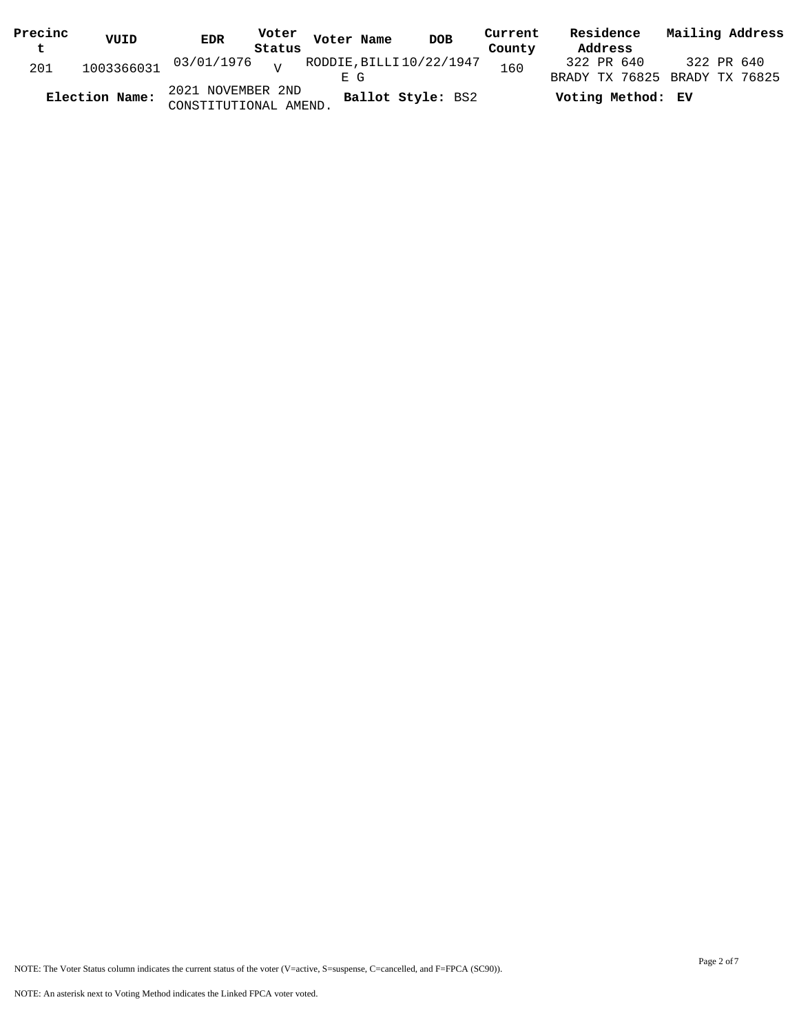| Precinc | VUID           | <b>EDR</b>                                 |        | Voter Voter Name | <b>DOB</b>             | Current | Residence         | Mailing Address                             |
|---------|----------------|--------------------------------------------|--------|------------------|------------------------|---------|-------------------|---------------------------------------------|
| t       |                |                                            | Status |                  |                        | County  | Address           |                                             |
| 201     |                | $1003366031$ 03/01/1976 $\frac{1}{100}$    |        | F. G             | RODDIE,BILLI10/22/1947 | 160     | 322 PR 640        | 322 PR 640<br>BRADY TX 76825 BRADY TX 76825 |
|         | Election Name: | 2021 NOVEMBER 2ND<br>CONSTITUTIONAL AMEND. |        |                  | Ballot Style: BS2      |         | Voting Method: EV |                                             |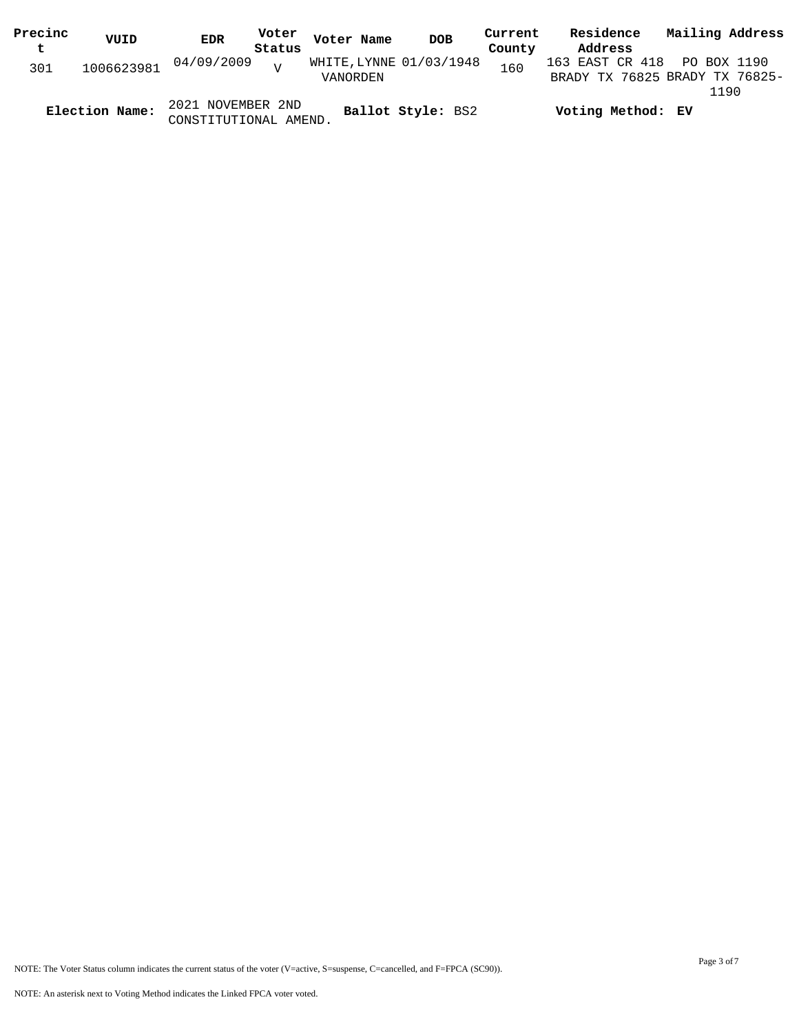| Precinc | VUID           | EDR                   | Voter  | Voter Name              | <b>DOB</b>        | Current | Residence                      | Mailing Address |  |
|---------|----------------|-----------------------|--------|-------------------------|-------------------|---------|--------------------------------|-----------------|--|
| t       |                |                       | Status |                         |                   | County  | Address                        |                 |  |
| 301     | 1006623981     | 04/09/2009            | $\tau$ | WHITE, LYNNE 01/03/1948 |                   | 160     | 163 EAST CR 418 PO BOX 1190    |                 |  |
|         |                |                       |        | VANORDEN                |                   |         | BRADY TX 76825 BRADY TX 76825- |                 |  |
|         |                |                       |        |                         |                   |         |                                | 1190            |  |
|         | Election Name: | 2021 NOVEMBER 2ND     |        |                         | Ballot Style: BS2 |         | Voting Method: EV              |                 |  |
|         |                | CONSTITUTIONAL AMEND. |        |                         |                   |         |                                |                 |  |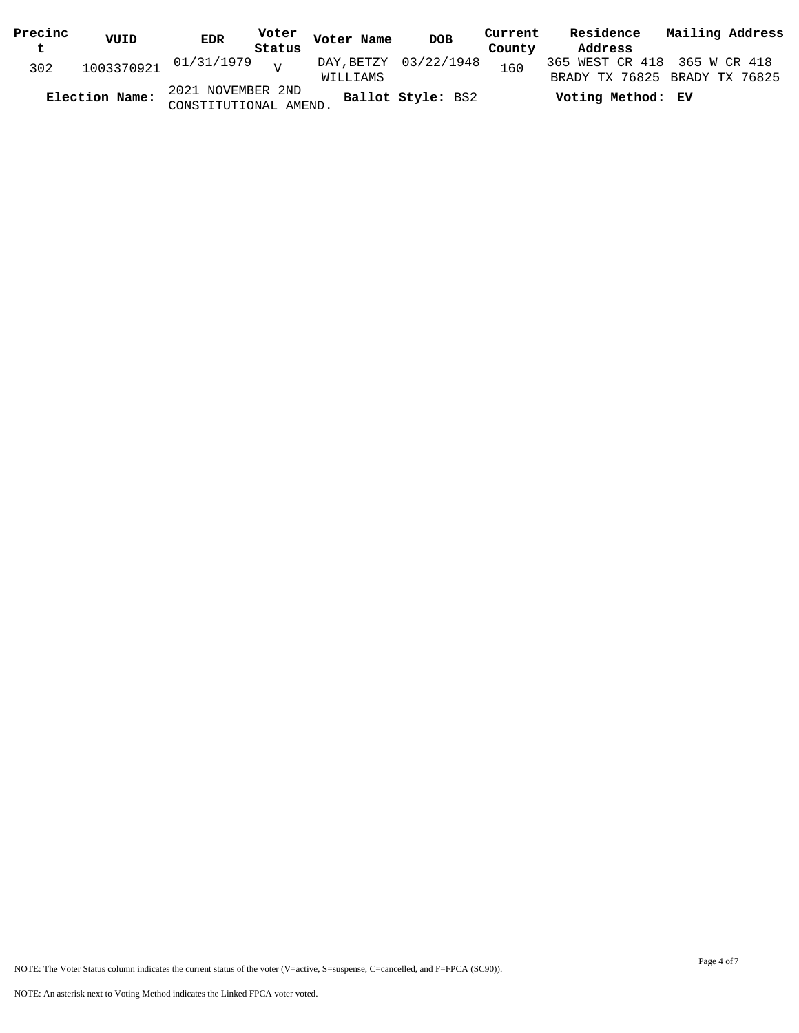| Precinc | VUID           | <b>EDR</b>                                 | Voter Voter Name | DOB                   | Current | Residence                    | Mailing Address               |
|---------|----------------|--------------------------------------------|------------------|-----------------------|---------|------------------------------|-------------------------------|
| t       |                | Status                                     |                  |                       | County  | Address                      |                               |
| 302     |                | $1003370921$ $01/31/1979$ $V$              | WILLIAMS         | DAY, BETZY 03/22/1948 | 160     | 365 WEST CR 418 365 W CR 418 | BRADY TX 76825 BRADY TX 76825 |
|         | Election Name: | 2021 NOVEMBER 2ND<br>CONSTITUTIONAL AMEND. |                  | Ballot Style: BS2     |         | Voting Method: EV            |                               |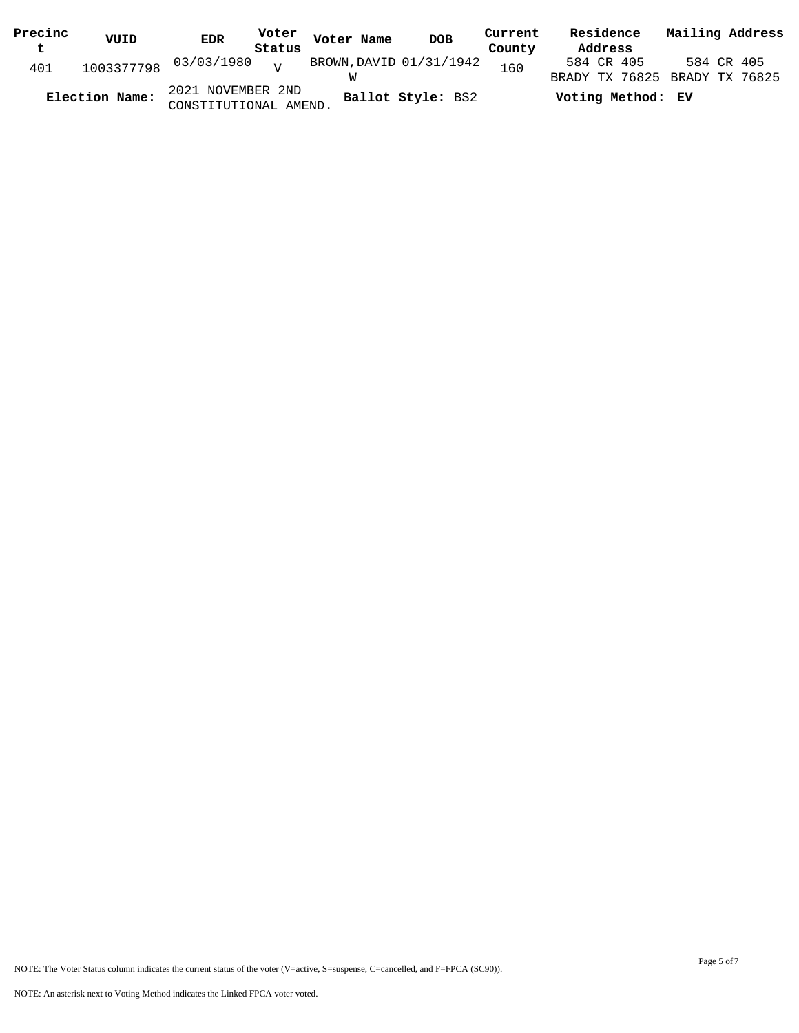| Precinc     | VUID           | <b>EDR</b>                                 |        | Voter Voter Name | DOB                     | Current | Residence                                   | Mailing Address |
|-------------|----------------|--------------------------------------------|--------|------------------|-------------------------|---------|---------------------------------------------|-----------------|
| $\mathbf t$ |                |                                            | Status |                  |                         | County  | Address                                     |                 |
| 401         |                | 1003377798 03/03/1980 <sub>V</sub>         |        |                  | BROWN, DAVID 01/31/1942 | 160     | 584 CR 405<br>BRADY TX 76825 BRADY TX 76825 | 584 CR 405      |
|             | Election Name: | 2021 NOVEMBER 2ND<br>CONSTITUTIONAL AMEND. |        |                  | Ballot Style: BS2       |         | Voting Method: EV                           |                 |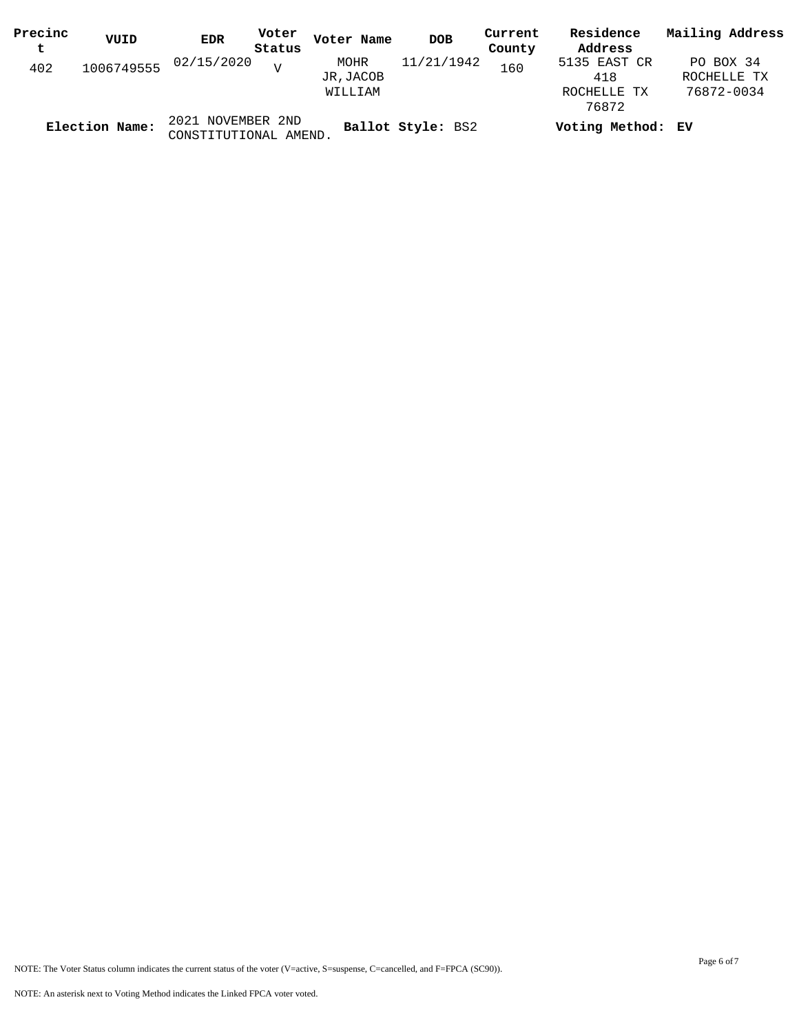| Precinc | VUID           | <b>EDR</b>                                 | Voter  | Voter Name                  | <b>DOB</b>        | Current | Residence                                   | Mailing Address                        |
|---------|----------------|--------------------------------------------|--------|-----------------------------|-------------------|---------|---------------------------------------------|----------------------------------------|
| t       |                |                                            | Status |                             |                   | County  | Address                                     |                                        |
| 402     | 1006749555     | 02/15/2020                                 | $\tau$ | MOHR<br>JR,JACOB<br>WILLIAM | 11/21/1942        | 160     | 5135 EAST CR<br>418<br>ROCHELLE TX<br>76872 | PO BOX 34<br>ROCHELLE TX<br>76872-0034 |
|         | Election Name: | 2021 NOVEMBER 2ND<br>CONSTITUTIONAL AMEND. |        |                             | Ballot Style: BS2 |         | Voting Method: EV                           |                                        |